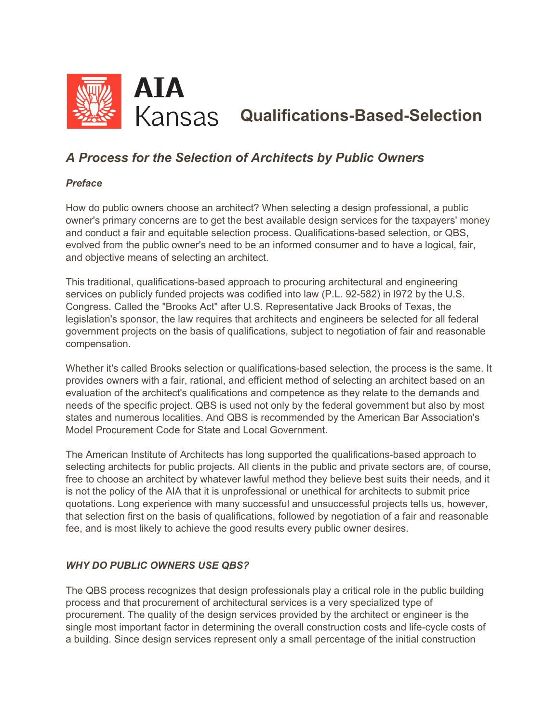

# *A Process for the Selection of Architects by Public Owners*

### *Preface*

How do public owners choose an architect? When selecting a design professional, a public owner's primary concerns are to get the best available design services for the taxpayers' money and conduct a fair and equitable selection process. Qualifications-based selection, or QBS, evolved from the public owner's need to be an informed consumer and to have a logical, fair, and objective means of selecting an architect.

This traditional, qualifications-based approach to procuring architectural and engineering services on publicly funded projects was codified into law (P.L. 92-582) in l972 by the U.S. Congress. Called the "Brooks Act" after U.S. Representative Jack Brooks of Texas, the legislation's sponsor, the law requires that architects and engineers be selected for all federal government projects on the basis of qualifications, subject to negotiation of fair and reasonable compensation.

Whether it's called Brooks selection or qualifications-based selection, the process is the same. It provides owners with a fair, rational, and efficient method of selecting an architect based on an evaluation of the architect's qualifications and competence as they relate to the demands and needs of the specific project. QBS is used not only by the federal government but also by most states and numerous localities. And QBS is recommended by the American Bar Association's Model Procurement Code for State and Local Government.

The American Institute of Architects has long supported the qualifications-based approach to selecting architects for public projects. All clients in the public and private sectors are, of course, free to choose an architect by whatever lawful method they believe best suits their needs, and it is not the policy of the AIA that it is unprofessional or unethical for architects to submit price quotations. Long experience with many successful and unsuccessful projects tells us, however, that selection first on the basis of qualifications, followed by negotiation of a fair and reasonable fee, and is most likely to achieve the good results every public owner desires.

# *WHY DO PUBLIC OWNERS USE QBS?*

The QBS process recognizes that design professionals play a critical role in the public building process and that procurement of architectural services is a very specialized type of procurement. The quality of the design services provided by the architect or engineer is the single most important factor in determining the overall construction costs and life-cycle costs of a building. Since design services represent only a small percentage of the initial construction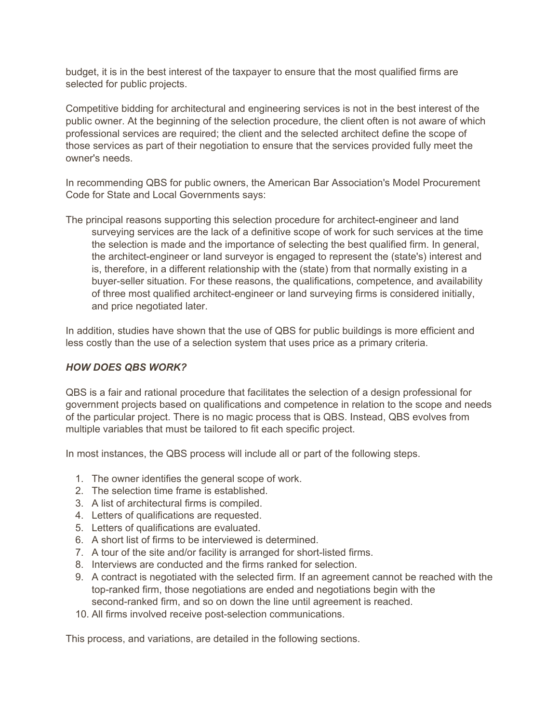budget, it is in the best interest of the taxpayer to ensure that the most qualified firms are selected for public projects.

Competitive bidding for architectural and engineering services is not in the best interest of the public owner. At the beginning of the selection procedure, the client often is not aware of which professional services are required; the client and the selected architect define the scope of those services as part of their negotiation to ensure that the services provided fully meet the owner's needs.

In recommending QBS for public owners, the American Bar Association's Model Procurement Code for State and Local Governments says:

The principal reasons supporting this selection procedure for architect-engineer and land surveying services are the lack of a definitive scope of work for such services at the time the selection is made and the importance of selecting the best qualified firm. In general, the architect-engineer or land surveyor is engaged to represent the (state's) interest and is, therefore, in a different relationship with the (state) from that normally existing in a buyer-seller situation. For these reasons, the qualifications, competence, and availability of three most qualified architect-engineer or land surveying firms is considered initially, and price negotiated later.

In addition, studies have shown that the use of QBS for public buildings is more efficient and less costly than the use of a selection system that uses price as a primary criteria.

#### *HOW DOES QBS WORK?*

QBS is a fair and rational procedure that facilitates the selection of a design professional for government projects based on qualifications and competence in relation to the scope and needs of the particular project. There is no magic process that is QBS. Instead, QBS evolves from multiple variables that must be tailored to fit each specific project.

In most instances, the QBS process will include all or part of the following steps.

- 1. The owner identifies the general scope of work.
- 2. The selection time frame is established.
- 3. A list of architectural firms is compiled.
- 4. Letters of qualifications are requested.
- 5. Letters of qualifications are evaluated.
- 6. A short list of firms to be interviewed is determined.
- 7. A tour of the site and/or facility is arranged for short-listed firms.
- 8. Interviews are conducted and the firms ranked for selection.
- 9. A contract is negotiated with the selected firm. If an agreement cannot be reached with the top-ranked firm, those negotiations are ended and negotiations begin with the second-ranked firm, and so on down the line until agreement is reached.
- 10. All firms involved receive post-selection communications.

This process, and variations, are detailed in the following sections.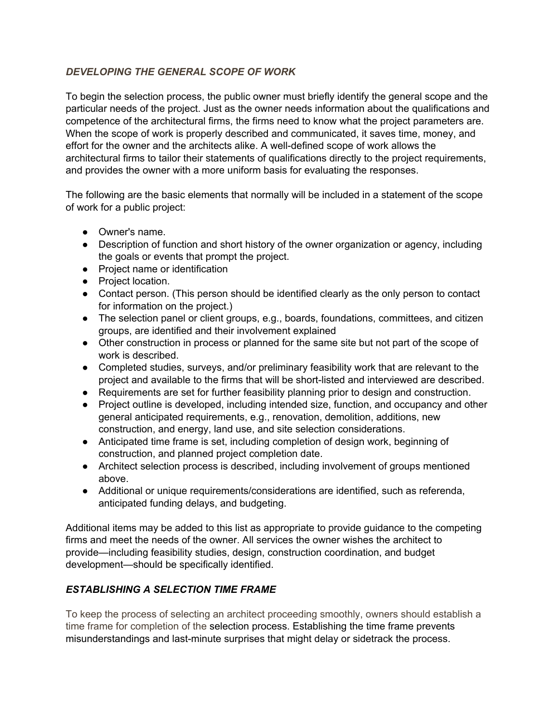### *DEVELOPING THE GENERAL SCOPE OF WORK*

To begin the selection process, the public owner must briefly identify the general scope and the particular needs of the project. Just as the owner needs information about the qualifications and competence of the architectural firms, the firms need to know what the project parameters are. When the scope of work is properly described and communicated, it saves time, money, and effort for the owner and the architects alike. A well-defined scope of work allows the architectural firms to tailor their statements of qualifications directly to the project requirements, and provides the owner with a more uniform basis for evaluating the responses.

The following are the basic elements that normally will be included in a statement of the scope of work for a public project:

- Owner's name.
- Description of function and short history of the owner organization or agency, including the goals or events that prompt the project.
- Project name or identification
- Project location.
- Contact person. (This person should be identified clearly as the only person to contact for information on the project.)
- The selection panel or client groups, e.g., boards, foundations, committees, and citizen groups, are identified and their involvement explained
- Other construction in process or planned for the same site but not part of the scope of work is described.
- Completed studies, surveys, and/or preliminary feasibility work that are relevant to the project and available to the firms that will be short-listed and interviewed are described.
- Requirements are set for further feasibility planning prior to design and construction.
- Project outline is developed, including intended size, function, and occupancy and other general anticipated requirements, e.g., renovation, demolition, additions, new construction, and energy, land use, and site selection considerations.
- Anticipated time frame is set, including completion of design work, beginning of construction, and planned project completion date.
- Architect selection process is described, including involvement of groups mentioned above.
- Additional or unique requirements/considerations are identified, such as referenda, anticipated funding delays, and budgeting.

Additional items may be added to this list as appropriate to provide guidance to the competing firms and meet the needs of the owner. All services the owner wishes the architect to provide—including feasibility studies, design, construction coordination, and budget development—should be specifically identified.

# *ESTABLISHING A SELECTION TIME FRAME*

To keep the process of selecting an architect proceeding smoothly, owners should establish a time frame for completion of the selection process. Establishing the time frame prevents misunderstandings and last-minute surprises that might delay or sidetrack the process.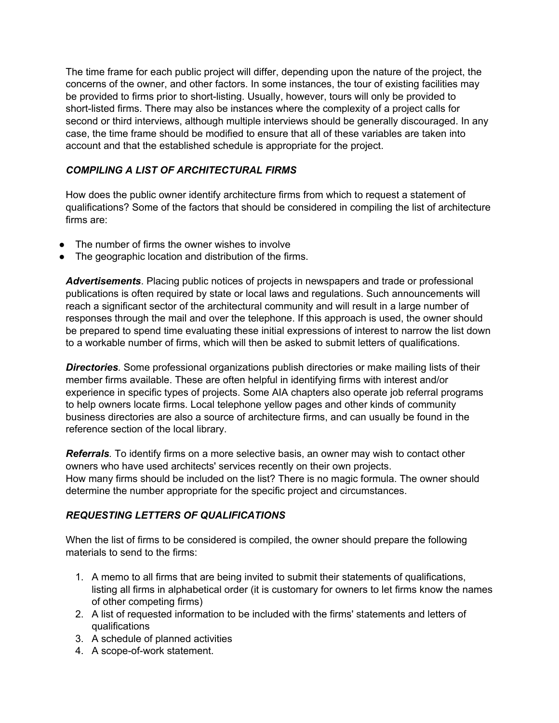The time frame for each public project will differ, depending upon the nature of the project, the concerns of the owner, and other factors. In some instances, the tour of existing facilities may be provided to firms prior to short-listing. Usually, however, tours will only be provided to short-listed firms. There may also be instances where the complexity of a project calls for second or third interviews, although multiple interviews should be generally discouraged. In any case, the time frame should be modified to ensure that all of these variables are taken into account and that the established schedule is appropriate for the project.

# *COMPILING A LIST OF ARCHITECTURAL FIRMS*

How does the public owner identify architecture firms from which to request a statement of qualifications? Some of the factors that should be considered in compiling the list of architecture firms are:

- **The number of firms the owner wishes to involve**
- The geographic location and distribution of the firms.

*Advertisements*. Placing public notices of projects in newspapers and trade or professional publications is often required by state or local laws and regulations. Such announcements will reach a significant sector of the architectural community and will result in a large number of responses through the mail and over the telephone. If this approach is used, the owner should be prepared to spend time evaluating these initial expressions of interest to narrow the list down to a workable number of firms, which will then be asked to submit letters of qualifications.

*Directories.* Some professional organizations publish directories or make mailing lists of their member firms available. These are often helpful in identifying firms with interest and/or experience in specific types of projects. Some AIA chapters also operate job referral programs to help owners locate firms. Local telephone yellow pages and other kinds of community business directories are also a source of architecture firms, and can usually be found in the reference section of the local library.

*Referrals.* To identify firms on a more selective basis, an owner may wish to contact other owners who have used architects' services recently on their own projects. How many firms should be included on the list? There is no magic formula. The owner should determine the number appropriate for the specific project and circumstances.

# *REQUESTING LETTERS OF QUALIFICATIONS*

When the list of firms to be considered is compiled, the owner should prepare the following materials to send to the firms:

- 1. A memo to all firms that are being invited to submit their statements of qualifications, listing all firms in alphabetical order (it is customary for owners to let firms know the names of other competing firms)
- 2. A list of requested information to be included with the firms' statements and letters of qualifications
- 3. A schedule of planned activities
- 4. A scope-of-work statement.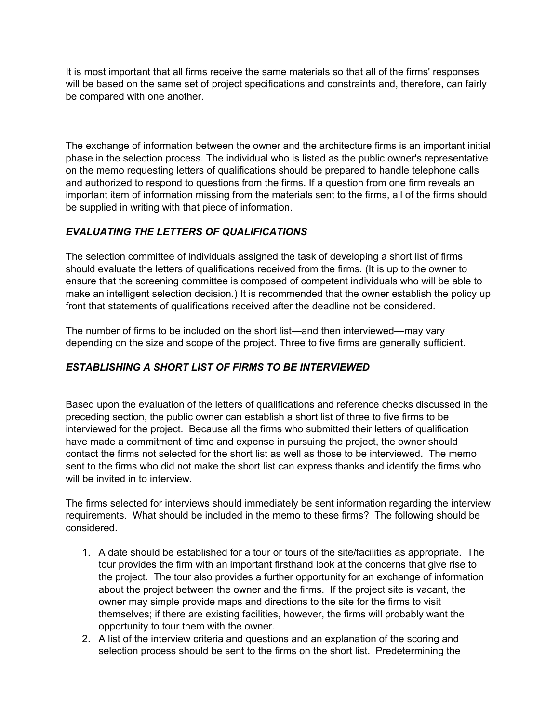It is most important that all firms receive the same materials so that all of the firms' responses will be based on the same set of project specifications and constraints and, therefore, can fairly be compared with one another.

The exchange of information between the owner and the architecture firms is an important initial phase in the selection process. The individual who is listed as the public owner's representative on the memo requesting letters of qualifications should be prepared to handle telephone calls and authorized to respond to questions from the firms. If a question from one firm reveals an important item of information missing from the materials sent to the firms, all of the firms should be supplied in writing with that piece of information.

# *EVALUATING THE LETTERS OF QUALIFICATIONS*

The selection committee of individuals assigned the task of developing a short list of firms should evaluate the letters of qualifications received from the firms. (It is up to the owner to ensure that the screening committee is composed of competent individuals who will be able to make an intelligent selection decision.) It is recommended that the owner establish the policy up front that statements of qualifications received after the deadline not be considered.

The number of firms to be included on the short list—and then interviewed—may vary depending on the size and scope of the project. Three to five firms are generally sufficient.

# *ESTABLISHING A SHORT LIST OF FIRMS TO BE INTERVIEWED*

Based upon the evaluation of the letters of qualifications and reference checks discussed in the preceding section, the public owner can establish a short list of three to five firms to be interviewed for the project. Because all the firms who submitted their letters of qualification have made a commitment of time and expense in pursuing the project, the owner should contact the firms not selected for the short list as well as those to be interviewed. The memo sent to the firms who did not make the short list can express thanks and identify the firms who will be invited in to interview.

The firms selected for interviews should immediately be sent information regarding the interview requirements. What should be included in the memo to these firms? The following should be considered.

- 1. A date should be established for a tour or tours of the site/facilities as appropriate. The tour provides the firm with an important firsthand look at the concerns that give rise to the project. The tour also provides a further opportunity for an exchange of information about the project between the owner and the firms. If the project site is vacant, the owner may simple provide maps and directions to the site for the firms to visit themselves; if there are existing facilities, however, the firms will probably want the opportunity to tour them with the owner.
- 2. A list of the interview criteria and questions and an explanation of the scoring and selection process should be sent to the firms on the short list. Predetermining the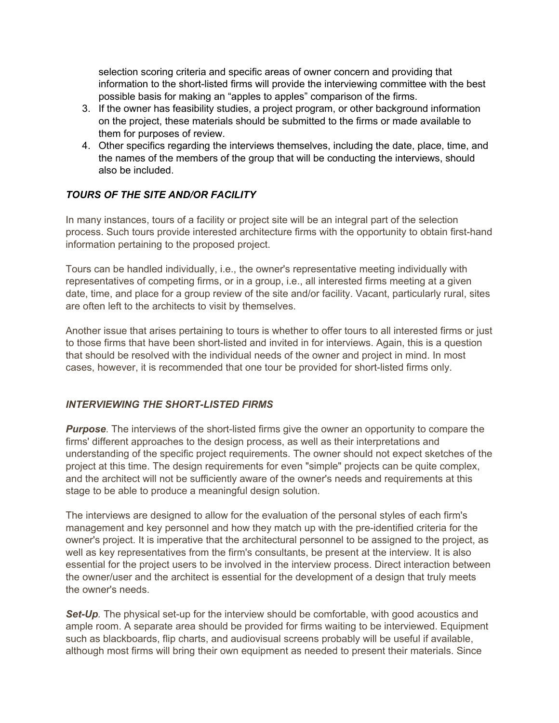selection scoring criteria and specific areas of owner concern and providing that information to the short-listed firms will provide the interviewing committee with the best possible basis for making an "apples to apples" comparison of the firms.

- 3. If the owner has feasibility studies, a project program, or other background information on the project, these materials should be submitted to the firms or made available to them for purposes of review.
- 4. Other specifics regarding the interviews themselves, including the date, place, time, and the names of the members of the group that will be conducting the interviews, should also be included.

# *TOURS OF THE SITE AND/OR FACILITY*

In many instances, tours of a facility or project site will be an integral part of the selection process. Such tours provide interested architecture firms with the opportunity to obtain first-hand information pertaining to the proposed project.

Tours can be handled individually, i.e., the owner's representative meeting individually with representatives of competing firms, or in a group, i.e., all interested firms meeting at a given date, time, and place for a group review of the site and/or facility. Vacant, particularly rural, sites are often left to the architects to visit by themselves.

Another issue that arises pertaining to tours is whether to offer tours to all interested firms or just to those firms that have been short-listed and invited in for interviews. Again, this is a question that should be resolved with the individual needs of the owner and project in mind. In most cases, however, it is recommended that one tour be provided for short-listed firms only.

# *INTERVIEWING THE SHORT-LISTED FIRMS*

*Purpose*. The interviews of the short-listed firms give the owner an opportunity to compare the firms' different approaches to the design process, as well as their interpretations and understanding of the specific project requirements. The owner should not expect sketches of the project at this time. The design requirements for even "simple" projects can be quite complex, and the architect will not be sufficiently aware of the owner's needs and requirements at this stage to be able to produce a meaningful design solution.

The interviews are designed to allow for the evaluation of the personal styles of each firm's management and key personnel and how they match up with the pre-identified criteria for the owner's project. It is imperative that the architectural personnel to be assigned to the project, as well as key representatives from the firm's consultants, be present at the interview. It is also essential for the project users to be involved in the interview process. Direct interaction between the owner/user and the architect is essential for the development of a design that truly meets the owner's needs.

*Set-Up.* The physical set-up for the interview should be comfortable, with good acoustics and ample room. A separate area should be provided for firms waiting to be interviewed. Equipment such as blackboards, flip charts, and audiovisual screens probably will be useful if available, although most firms will bring their own equipment as needed to present their materials. Since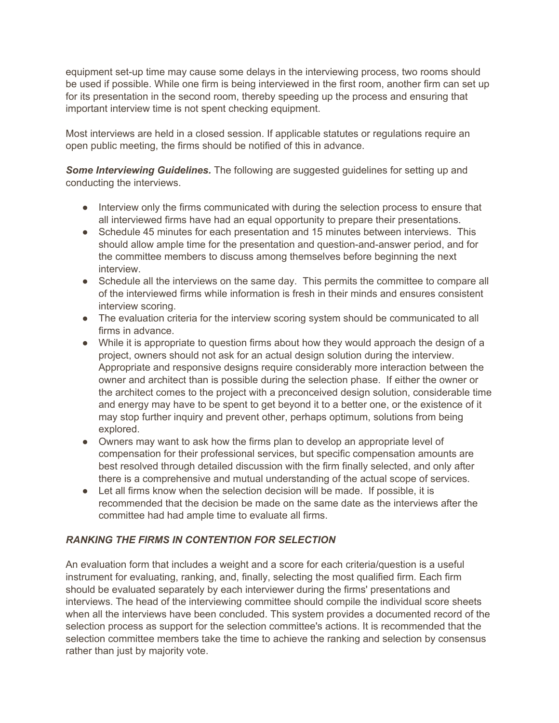equipment set-up time may cause some delays in the interviewing process, two rooms should be used if possible. While one firm is being interviewed in the first room, another firm can set up for its presentation in the second room, thereby speeding up the process and ensuring that important interview time is not spent checking equipment.

Most interviews are held in a closed session. If applicable statutes or regulations require an open public meeting, the firms should be notified of this in advance.

*Some Interviewing Guidelines.* The following are suggested guidelines for setting up and conducting the interviews.

- Interview only the firms communicated with during the selection process to ensure that all interviewed firms have had an equal opportunity to prepare their presentations.
- Schedule 45 minutes for each presentation and 15 minutes between interviews. This should allow ample time for the presentation and question-and-answer period, and for the committee members to discuss among themselves before beginning the next interview.
- Schedule all the interviews on the same day. This permits the committee to compare all of the interviewed firms while information is fresh in their minds and ensures consistent interview scoring.
- The evaluation criteria for the interview scoring system should be communicated to all firms in advance.
- While it is appropriate to question firms about how they would approach the design of a project, owners should not ask for an actual design solution during the interview. Appropriate and responsive designs require considerably more interaction between the owner and architect than is possible during the selection phase. If either the owner or the architect comes to the project with a preconceived design solution, considerable time and energy may have to be spent to get beyond it to a better one, or the existence of it may stop further inquiry and prevent other, perhaps optimum, solutions from being explored.
- Owners may want to ask how the firms plan to develop an appropriate level of compensation for their professional services, but specific compensation amounts are best resolved through detailed discussion with the firm finally selected, and only after there is a comprehensive and mutual understanding of the actual scope of services.
- Let all firms know when the selection decision will be made. If possible, it is recommended that the decision be made on the same date as the interviews after the committee had had ample time to evaluate all firms.

# *RANKING THE FIRMS IN CONTENTION FOR SELECTION*

An evaluation form that includes a weight and a score for each criteria/question is a useful instrument for evaluating, ranking, and, finally, selecting the most qualified firm. Each firm should be evaluated separately by each interviewer during the firms' presentations and interviews. The head of the interviewing committee should compile the individual score sheets when all the interviews have been concluded. This system provides a documented record of the selection process as support for the selection committee's actions. It is recommended that the selection committee members take the time to achieve the ranking and selection by consensus rather than just by majority vote.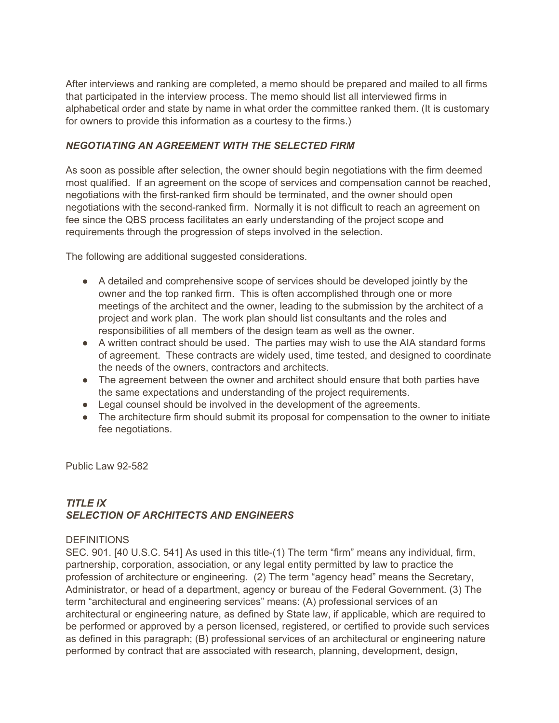After interviews and ranking are completed, a memo should be prepared and mailed to all firms that participated in the interview process. The memo should list all interviewed firms in alphabetical order and state by name in what order the committee ranked them. (It is customary for owners to provide this information as a courtesy to the firms.)

#### *NEGOTIATING AN AGREEMENT WITH THE SELECTED FIRM*

As soon as possible after selection, the owner should begin negotiations with the firm deemed most qualified. If an agreement on the scope of services and compensation cannot be reached, negotiations with the first-ranked firm should be terminated, and the owner should open negotiations with the second-ranked firm. Normally it is not difficult to reach an agreement on fee since the QBS process facilitates an early understanding of the project scope and requirements through the progression of steps involved in the selection.

The following are additional suggested considerations.

- A detailed and comprehensive scope of services should be developed jointly by the owner and the top ranked firm. This is often accomplished through one or more meetings of the architect and the owner, leading to the submission by the architect of a project and work plan. The work plan should list consultants and the roles and responsibilities of all members of the design team as well as the owner.
- A written contract should be used. The parties may wish to use the AIA standard forms of agreement. These contracts are widely used, time tested, and designed to coordinate the needs of the owners, contractors and architects.
- The agreement between the owner and architect should ensure that both parties have the same expectations and understanding of the project requirements.
- Legal counsel should be involved in the development of the agreements.
- The architecture firm should submit its proposal for compensation to the owner to initiate fee negotiations.

Public Law 92-582

# *TITLE IX SELECTION OF ARCHITECTS AND ENGINEERS*

#### **DEFINITIONS**

SEC. 901. [40 U.S.C. 541] As used in this title-(1) The term "firm" means any individual, firm, partnership, corporation, association, or any legal entity permitted by law to practice the profession of architecture or engineering. (2) The term "agency head" means the Secretary, Administrator, or head of a department, agency or bureau of the Federal Government. (3) The term "architectural and engineering services" means: (A) professional services of an architectural or engineering nature, as defined by State law, if applicable, which are required to be performed or approved by a person licensed, registered, or certified to provide such services as defined in this paragraph; (B) professional services of an architectural or engineering nature performed by contract that are associated with research, planning, development, design,